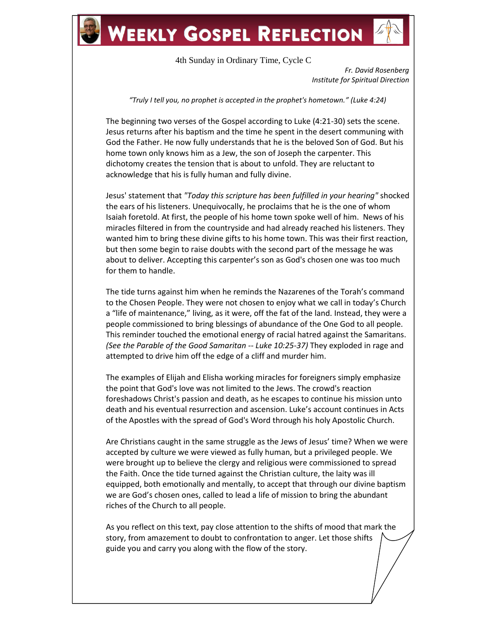## **WEEKLY GOSPEL REFLECTION**

4th Sunday in Ordinary Time, Cycle C

*Fr. David Rosenberg Institute for Spiritual Direction*

*"Truly I tell you, no prophet is accepted in the prophet's hometown." (Luke 4:24)*

The beginning two verses of the Gospel according to Luke (4:21-30) sets the scene. Jesus returns after his baptism and the time he spent in the desert communing with God the Father. He now fully understands that he is the beloved Son of God. But his home town only knows him as a Jew, the son of Joseph the carpenter. This dichotomy creates the tension that is about to unfold. They are reluctant to acknowledge that his is fully human and fully divine.

Jesus' statement that *"Today this scripture has been fulfilled in your hearing"* shocked the ears of his listeners. Unequivocally, he proclaims that he is the one of whom Isaiah foretold. At first, the people of his home town spoke well of him. News of his miracles filtered in from the countryside and had already reached his listeners. They wanted him to bring these divine gifts to his home town. This was their first reaction, but then some begin to raise doubts with the second part of the message he was about to deliver. Accepting this carpenter's son as God's chosen one was too much for them to handle.

The tide turns against him when he reminds the Nazarenes of the Torah's command to the Chosen People. They were not chosen to enjoy what we call in today's Church a "life of maintenance," living, as it were, off the fat of the land. Instead, they were a people commissioned to bring blessings of abundance of the One God to all people. This reminder touched the emotional energy of racial hatred against the Samaritans. *(See the Parable of the Good Samaritan -- Luke 10:25-37)* They exploded in rage and attempted to drive him off the edge of a cliff and murder him.

The examples of Elijah and Elisha working miracles for foreigners simply emphasize the point that God's love was not limited to the Jews. The crowd's reaction foreshadows Christ's passion and death, as he escapes to continue his mission unto death and his eventual resurrection and ascension. Luke's account continues in Acts of the Apostles with the spread of God's Word through his holy Apostolic Church.

Are Christians caught in the same struggle as the Jews of Jesus' time? When we were accepted by culture we were viewed as fully human, but a privileged people. We were brought up to believe the clergy and religious were commissioned to spread the Faith. Once the tide turned against the Christian culture, the laity was ill equipped, both emotionally and mentally, to accept that through our divine baptism we are God's chosen ones, called to lead a life of mission to bring the abundant riches of the Church to all people.

As you reflect on this text, pay close attention to the shifts of mood that mark the story, from amazement to doubt to confrontation to anger. Let those shifts guide you and carry you along with the flow of the story.